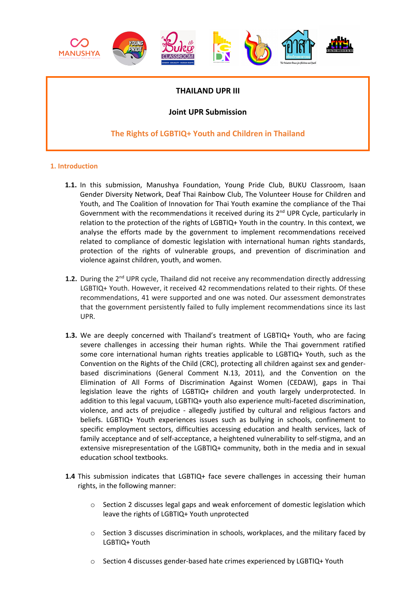

# **THAILAND UPR III**

# **Joint UPR Submission**

# **The Rights of LGBTIQ+ Youth and Children in Thailand**

## **1. Introduction**

- **1.1.** In this submission, Manushya Foundation, Young Pride Club, BUKU Classroom, Isaan Gender Diversity Network, Deaf Thai Rainbow Club, The Volunteer House for Children and Youth, and The Coalition of Innovation for Thai Youth examine the compliance of the Thai Government with the recommendations it received during its  $2^{nd}$  UPR Cycle, particularly in relation to the protection of the rights of LGBTIQ+ Youth in the country. In this context, we analyse the efforts made by the government to implement recommendations received related to compliance of domestic legislation with international human rights standards, protection of the rights of vulnerable groups, and prevention of discrimination and violence against children, youth, and women.
- 1.2. During the 2<sup>nd</sup> UPR cycle, Thailand did not receive any recommendation directly addressing LGBTIQ+ Youth. However, it received 42 recommendations related to their rights. Of these recommendations, 41 were supported and one was noted. Our assessment demonstrates that the government persistently failed to fully implement recommendations since its last UPR.
- **1.3.** We are deeply concerned with Thailand'<sup>s</sup> treatment of LGBTIQ+ Youth, who are facing severe challenges in accessing their human rights. While the Thai government ratified some core international human rights treaties applicable to LGBTIQ+ Youth, such as the Convention on the Rights of the Child (CRC), protecting all children against sex and genderbased discriminations (General Comment N.13, 2011), and the Convention on the Elimination of All Forms of Discrimination Against Women (CEDAW), gaps in Thai legislation leave the rights of LGBTIQ+ children and youth largely underprotected. In addition to this legal vacuum, LGBTIQ+ youth also experience multi-faceted discrimination, violence, and acts of prejudice - allegedly justified by cultural and religious factors and beliefs. LGBTIQ+ Youth experiences issues such as bullying in schools, confinement to specific employment sectors, difficulties accessing education and health services, lack of family acceptance and of self-acceptance, <sup>a</sup> heightened vulnerability to self-stigma, and an extensive misrepresentation of the LGBTIQ+ community, both in the media and in sexual education school textbooks.
- **1.4** This submission indicates that LGBTIQ+ face severe challenges in accessing their human rights, in the following manner:
	- <sup>o</sup> Section 2 discusses legal gaps and weak enforcement of domestic legislation which leave the rights of LGBTIQ+ Youth unprotected
	- <sup>o</sup> Section 3 discusses discrimination in schools, workplaces, and the military faced by LGBTIQ+ Youth
	- <sup>o</sup> Section 4 discusses gender-based hate crimes experienced by LGBTIQ+ Youth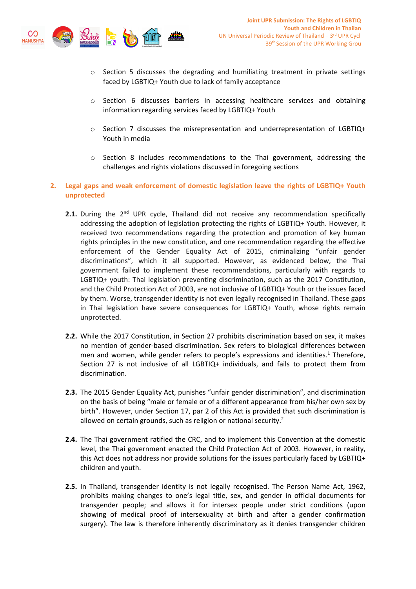

- $\circ$  Section 5 discusses the degrading and humiliating treatment in private settings faced by LGBTIQ+ Youth due to lack of family acceptance
- $\circ$  Section 6 discusses barriers in accessing healthcare services and obtaining information regarding services faced by LGBTIQ+ Youth
- $\circ$  Section 7 discusses the misrepresentation and underrepresentation of LGBTIQ+ Youth in media
- <sup>o</sup> Section 8 includes recommendations to the Thai government, addressing the challenges and rights violations discussed in foregoing sections
- **2. Legal gaps and weak enforcement of domestic legislation leave the rights of LGBTIQ+ Youth unprotected**
	- **2.1.** During the 2<sup>nd</sup> UPR cycle, Thailand did not receive any recommendation specifically addressing the adoption of legislation protecting the rights of LGBTIQ+ Youth. However, it received two recommendations regarding the protection and promotion of key human rights principles in the new constitution, and one recommendation regarding the effective enforcement of the Gender Equality Act of 2015, criminalizing "unfair gender discriminations", which it all supported. However, as evidenced below, the Thai government failed to implement these recommendations, particularly with regards to LGBTIQ+ youth: Thai legislation preventing discrimination, such as the 2017 Constitution, and the Child Protection Act of 2003, are not inclusive of LGBTIQ+ Youth or the issues faced by them. Worse, transgender identity is not even legally recognised in Thailand. These gaps in Thai legislation have severe consequences for LGBTIQ+ Youth, whose rights remain unprotected.
	- **2.2.** While the 2017 Constitution, in Section 27 prohibits discrimination based on sex, it makes no mention of gender-based discrimination. Sex refers to biological differences between men and women, while gender refers to people's expressions and identities.<sup>1</sup> Therefore, Section 27 is not inclusive of all LGBTIQ+ individuals, and fails to protect them from discrimination.
	- **2.3.** The 2015 Gender Equality Act, punishes "unfair gender discrimination", and discrimination on the basis of being "male or female or of <sup>a</sup> different appearance from his/her own sex by birth". However, under Section 17, par 2 of this Act is provided that such discrimination is allowed on certain grounds, such as religion or national security.<sup>2</sup>
	- **2.4.** The Thai government ratified the CRC, and to implement this Convention at the domestic level, the Thai government enacted the Child Protection Act of 2003. However, in reality, this Act does not address nor provide solutions for the issues particularly faced by LGBTIQ+ children and youth.
	- **2.5.** In Thailand, transgender identity is not legally recognised. The Person Name Act, 1962, prohibits making changes to one'<sup>s</sup> legal title, sex, and gender in official documents for transgender people; and allows it for intersex people under strict conditions (upon showing of medical proof of intersexuality at birth and after <sup>a</sup> gender confirmation surgery). The law is therefore inherently discriminatory as it denies transgender children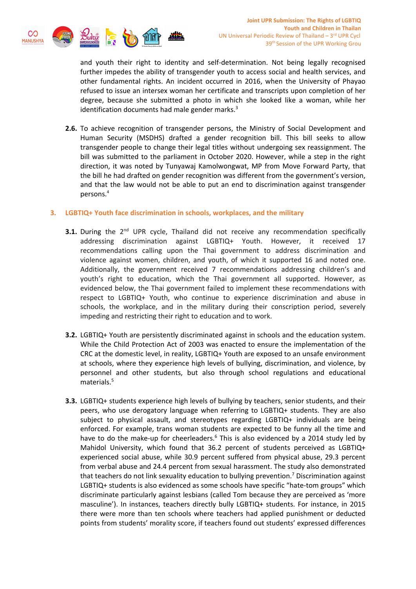

and youth their right to identity and self-determination. Not being legally recognised further impedes the ability of transgender youth to access social and health services, and other fundamental rights. An incident occurred in 2016, when the University of Phayao refused to issue an intersex woman her certificate and transcripts upon completion of her degree, because she submitted <sup>a</sup> photo in which she looked like <sup>a</sup> woman, while her identification documents had male gender marks.<sup>3</sup>

**2.6.** To achieve recognition of transgender persons, the Ministry of Social Development and Human Security (MSDHS) drafted <sup>a</sup> gender recognition bill. This bill seeks to allow transgender people to change their legal titles without undergoing sex reassignment. The bill was submitted to the parliament in October 2020. However, while <sup>a</sup> step in the right direction, it was noted by Tunyawaj Kamolwongwat, MP from Move Forward Party, that the bill he had drafted on gender recognition was different from the government'<sup>s</sup> version, and that the law would not be able to put an end to discrimination against transgender persons. 4

## **3. LGBTIQ+ Youth face discrimination in schools, workplaces, and the military**

- **3.1.** During the 2<sup>nd</sup> UPR cycle, Thailand did not receive any recommendation specifically addressing discrimination against LGBTIQ+ Youth. However, it received 17 recommendations calling upon the Thai government to address discrimination and violence against women, children, and youth, of which it supported 16 and noted one. Additionally, the government received 7 recommendations addressing children'<sup>s</sup> and youth'<sup>s</sup> right to education, which the Thai government all supported. However, as evidenced below, the Thai government failed to implement these recommendations with respect to LGBTIQ+ Youth, who continue to experience discrimination and abuse in schools, the workplace, and in the military during their conscription period, severely impeding and restricting their right to education and to work.
- **3.2.** LGBTIQ+ Youth are persistently discriminated against in schools and the education system. While the Child Protection Act of 2003 was enacted to ensure the implementation of the CRC at the domestic level, in reality, LGBTIQ+ Youth are exposed to an unsafe environment at schools, where they experience high levels of bullying, discrimination, and violence, by personnel and other students, but also through school regulations and educational materials. 5
- **3.3.** LGBTIQ+ students experience high levels of bullying by teachers, senior students, and their peers, who use derogatory language when referring to LGBTIQ+ students. They are also subject to physical assault, and stereotypes regarding LGBTIQ+ individuals are being enforced. For example, trans woman students are expected to be funny all the time and have to do the make-up for cheerleaders.<sup>6</sup> This is also evidenced by a 2014 study led by Mahidol University, which found that 36.2 percent of students perceived as LGBTIQ+ experienced social abuse, while 30.9 percent suffered from physical abuse, 29.3 percent from verbal abuse and 24.4 percent from sexual harassment. The study also demonstrated that teachers do not link sexuality education to bullying prevention.<sup>7</sup> Discrimination against LGBTIQ+ students is also evidenced as some schools have specific "hate-tom groups" which discriminate particularly against lesbians (called Tom because they are perceived as 'more masculine'). In instances, teachers directly bully LGBTIQ+ students. For instance, in 2015 there were more than ten schools where teachers had applied punishment or deducted points from students' morality score, if teachers found out students' expressed differences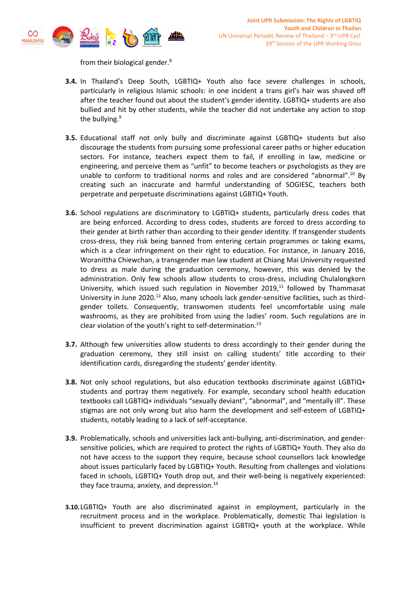

from their biological gender. 8

- **3.4.** In Thailand'<sup>s</sup> Deep South, LGBTIQ+ Youth also face severe challenges in schools, particularly in religious Islamic schools: in one incident <sup>a</sup> trans girl'<sup>s</sup> hair was shaved off after the teacher found out about the student'<sup>s</sup> gender identity. LGBTIQ+ students are also bullied and hit by other students, while the teacher did not undertake any action to stop the bullying.<sup>9</sup>
- **3.5.** Educational staff not only bully and discriminate against LGBTIQ+ students but also discourage the students from pursuing some professional career paths or higher education sectors. For instance, teachers expect them to fail, if enrolling in law, medicine or engineering, and perceive them as "unfit" to become teachers or psychologists as they are unable to conform to traditional norms and roles and are considered "abnormal".<sup>10</sup> By creating such an inaccurate and harmful understanding of SOGIESC, teachers both perpetrate and perpetuate discriminations against LGBTIQ+ Youth.
- **3.6.** School regulations are discriminatory to LGBTIQ+ students, particularly dress codes that are being enforced. According to dress codes, students are forced to dress according to their gender at birth rather than according to their gender identity. If transgender students cross-dress, they risk being banned from entering certain programmes or taking exams, which is <sup>a</sup> clear infringement on their right to education. For instance, in January 2016, Woranittha Chiewchan, <sup>a</sup> transgender man law student at Chiang Mai University requested to dress as male during the graduation ceremony, however, this was denied by the administration. Only few schools allow students to cross-dress, including Chulalongkorn University, which issued such regulation in November 2019, 11 followed by Thammasat University in June 2020.<sup>12</sup> Also, many schools lack gender-sensitive facilities, such as thirdgender toilets. Consequently, transwomen students feel uncomfortable using male washrooms, as they are prohibited from using the ladies' room. Such regulations are in clear violation of the youth's right to self-determination.<sup>13</sup>
- **3.7.** Although few universities allow students to dress accordingly to their gender during the graduation ceremony, they still insist on calling students' title according to their identification cards, disregarding the students' gender identity.
- **3.8.** Not only school regulations, but also education textbooks discriminate against LGBTIQ+ students and portray them negatively. For example, secondary school health education textbooks call LGBTIQ+ individuals "sexually deviant", "abnormal", and "mentally ill". These stigmas are not only wrong but also harm the development and self-esteem of LGBTIQ+ students, notably leading to <sup>a</sup> lack of self-acceptance.
- **3.9.** Problematically, schools and universities lack anti-bullying, anti-discrimination, and gendersensitive policies, which are required to protect the rights of LGBTIQ+ Youth. They also do not have access to the support they require, because school counsellors lack knowledge about issues particularly faced by LGBTIQ+ Youth. Resulting from challenges and violations faced in schools, LGBTIQ+ Youth drop out, and their well-being is negatively experienced: they face trauma, anxiety, and depression.<sup>14</sup>
- **3.10.**LGBTIQ+ Youth are also discriminated against in employment, particularly in the recruitment process and in the workplace. Problematically, domestic Thai legislation is insufficient to prevent discrimination against LGBTIQ+ youth at the workplace. While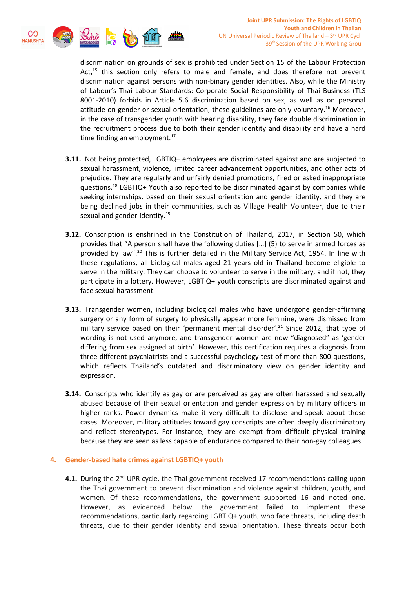

discrimination on grounds of sex is prohibited under Section 15 of the Labour Protection Act,<sup>15</sup> this section only refers to male and female, and does therefore not prevent discrimination against persons with non-binary gender identities. Also, while the Ministry of Labour'<sup>s</sup> Thai Labour Standards: Corporate Social Responsibility of Thai Business (TLS 8001-2010) forbids in Article 5.6 discrimination based on sex, as well as on personal attitude on gender or sexual orientation, these guidelines are only voluntary.<sup>16</sup> Moreover, in the case of transgender youth with hearing disability, they face double discrimination in the recruitment process due to both their gender identity and disability and have <sup>a</sup> hard time finding an employment.<sup>17</sup>

- **3.11.** Not being protected, LGBTIQ+ employees are discriminated against and are subjected to sexual harassment, violence, limited career advancement opportunities, and other acts of prejudice. They are regularly and unfairly denied promotions, fired or asked inappropriate questions.<sup>18</sup> LGBTIQ+ Youth also reported to be discriminated against by companies while seeking internships, based on their sexual orientation and gender identity, and they are being declined jobs in their communities, such as Village Health Volunteer, due to their sexual and gender-identity.<sup>19</sup>
- **3.12.** Conscription is enshrined in the Constitution of Thailand, 2017, in Section 50, which provides that "A person shall have the following duties […] (5) to serve in armed forces as provided by law".<sup>20</sup> This is further detailed in the Military Service Act, 1954. In line with these regulations, all biological males aged 21 years old in Thailand become eligible to serve in the military. They can choose to volunteer to serve in the military, and if not, they participate in <sup>a</sup> lottery. However, LGBTIQ+ youth conscripts are discriminated against and face sexual harassment.
- **3.13.** Transgender women, including biological males who have undergone gender-affirming surgery or any form of surgery to physically appear more feminine, were dismissed from military service based on their 'permanent mental disorder'.<sup>21</sup> Since 2012, that type of wording is not used anymore, and transgender women are now "diagnosed" as 'gender differing from sex assigned at birth'. However, this certification requires <sup>a</sup> diagnosis from three different psychiatrists and <sup>a</sup> successful psychology test of more than 800 questions, which reflects Thailand'<sup>s</sup> outdated and discriminatory view on gender identity and expression.
- **3.14.** Conscripts who identify as gay or are perceived as gay are often harassed and sexually abused because of their sexual orientation and gender expression by military officers in higher ranks. Power dynamics make it very difficult to disclose and speak about those cases. Moreover, military attitudes toward gay conscripts are often deeply discriminatory and reflect stereotypes. For instance, they are exempt from difficult physical training because they are seen as less capable of endurance compared to their non-gay colleagues.

## **4. Gender-based hate crimes against LGBTIQ+ youth**

**4.1.** During the 2<sup>nd</sup> UPR cycle, the Thai government received 17 recommendations calling upon the Thai government to prevent discrimination and violence against children, youth, and women. Of these recommendations, the government supported 16 and noted one. However, as evidenced below, the government failed to implement these recommendations, particularly regarding LGBTIQ+ youth, who face threats, including death threats, due to their gender identity and sexual orientation. These threats occur both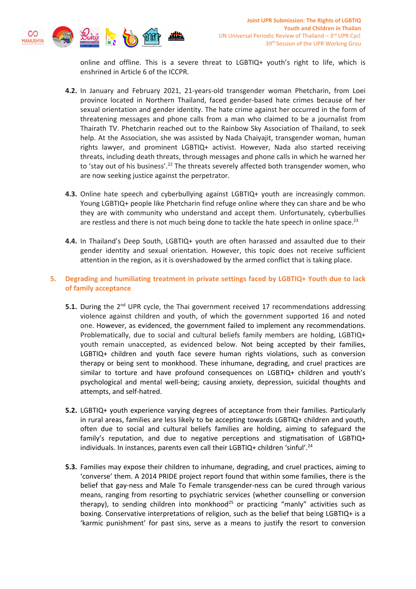

online and offline. This is <sup>a</sup> severe threat to LGBTIQ+ youth'<sup>s</sup> right to life, which is enshrined in Article 6 of the ICCPR.

- **4.2.** In January and February 2021, 21-years-old transgender woman Phetcharin, from Loei province located in Northern Thailand, faced gender-based hate crimes because of her sexual orientation and gender identity. The hate crime against her occurred in the form of threatening messages and phone calls from <sup>a</sup> man who claimed to be <sup>a</sup> journalist from Thairath TV. Phetcharin reached out to the Rainbow Sky Association of Thailand, to seek help. At the Association, she was assisted by Nada Chaiyajit, transgender woman, human rights lawyer, and prominent LGBTIQ+ activist. However, Nada also started receiving threats, including death threats, through messages and phone calls in which he warned her to 'stay out of his business'.<sup>22</sup> The threats severely affected both transgender women, who are now seeking justice against the perpetrator.
- **4.3.** Online hate speech and cyberbullying against LGBTIQ+ youth are increasingly common. Young LGBTIQ+ people like Phetcharin find refuge online where they can share and be who they are with community who understand and accept them. Unfortunately, cyberbullies are restless and there is not much being done to tackle the hate speech in online space.<sup>23</sup>
- **4.4.** In Thailand'<sup>s</sup> Deep South, LGBTIQ+ youth are often harassed and assaulted due to their gender identity and sexual orientation. However, this topic does not receive sufficient attention in the region, as it is overshadowed by the armed conflict that is taking place.
- **5. Degrading and humiliating treatment in private settings faced by LGBTIQ+ Youth due to lack of family acceptance**
	- **5.1.** During the 2<sup>nd</sup> UPR cycle, the Thai government received 17 recommendations addressing violence against children and youth, of which the government supported 16 and noted one. However, as evidenced, the government failed to implement any recommendations. Problematically, due to social and cultural beliefs family members are holding, LGBTIQ+ youth remain unaccepted, as evidenced below. Not being accepted by their families, LGBTIQ+ children and youth face severe human rights violations, such as conversion therapy or being sent to monkhood. These inhumane, degrading, and cruel practices are similar to torture and have profound consequences on LGBTIQ+ children and youth'<sup>s</sup> psychological and mental well-being; causing anxiety, depression, suicidal thoughts and attempts, and self-hatred.
	- **5.2.** LGBTIQ+ youth experience varying degrees of acceptance from their families. Particularly in rural areas, families are less likely to be accepting towards LGBTIQ+ children and youth, often due to social and cultural beliefs families are holding, aiming to safeguard the family'<sup>s</sup> reputation, and due to negative perceptions and stigmatisation of LGBTIQ+ individuals. In instances, parents even call their LGBTIQ+ children 'sinful'.<sup>24</sup>
	- **5.3.** Families may expose their children to inhumane, degrading, and cruel practices, aiming to 'converse' them. A 2014 PRIDE project report found that within some families, there is the belief that gay-ness and Male To Female transgender-ness can be cured through various means, ranging from resorting to psychiatric services (whether counselling or conversion therapy), to sending children into monkhood<sup>25</sup> or practicing "manly" activities such as boxing. Conservative interpretations of religion, such as the belief that being LGBTIQ+ is <sup>a</sup> 'karmic punishment' for past sins, serve as <sup>a</sup> means to justify the resort to conversion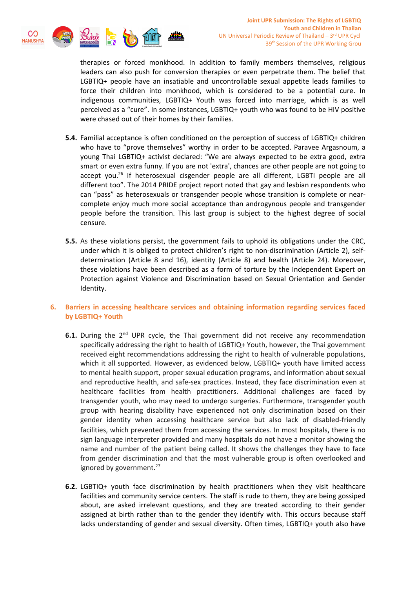

therapies or forced monkhood. In addition to family members themselves, religious leaders can also push for conversion therapies or even perpetrate them. The belief that LGBTIQ+ people have an insatiable and uncontrollable sexual appetite leads families to force their children into monkhood, which is considered to be <sup>a</sup> potential cure. In indigenous communities, LGBTIQ+ Youth was forced into marriage, which is as well perceived as <sup>a</sup> "cure". In some instances, LGBTIQ+ youth who was found to be HIV positive were chased out of their homes by their families.

- **5.4.** Familial acceptance is often conditioned on the perception of success of LGBTIQ+ children who have to "prove themselves" worthy in order to be accepted. Paravee Argasnoum, <sup>a</sup> young Thai LGBTIQ+ activist declared: "We are always expected to be extra good, extra smart or even extra funny. If you are not 'extra', chances are other people are not going to accept you.<sup>26</sup> If heterosexual cisgender people are all different, LGBTI people are all different too". The 2014 PRIDE project report noted that gay and lesbian respondents who can "pass" as heterosexuals or transgender people whose transition is complete or nearcomplete enjoy much more social acceptance than androgynous people and transgender people before the transition. This last group is subject to the highest degree of social censure.
- **5.5.** As these violations persist, the government fails to uphold its obligations under the CRC, under which it is obliged to protect children'<sup>s</sup> right to non-discrimination (Article 2), selfdetermination (Article 8 and 16), identity (Article 8) and health (Article 24). Moreover, these violations have been described as <sup>a</sup> form of torture by the Independent Expert on Protection against Violence and Discrimination based on Sexual Orientation and Gender Identity.

## **6. Barriers in accessing healthcare services and obtaining information regarding services faced by LGBTIQ+ Youth**

- **6.1.** During the 2<sup>nd</sup> UPR cycle, the Thai government did not receive any recommendation specifically addressing the right to health of LGBTIQ+ Youth, however, the Thai government received eight recommendations addressing the right to health of vulnerable populations, which it all supported. However, as evidenced below, LGBTIQ+ youth have limited access to mental health support, proper sexual education programs, and information about sexual and reproductive health, and safe-sex practices. Instead, they face discrimination even at healthcare facilities from health practitioners. Additional challenges are faced by transgender youth, who may need to undergo surgeries. Furthermore, transgender youth group with hearing disability have experienced not only discrimination based on their gender identity when accessing healthcare service but also lack of disabled-friendly facilities, which prevented them from accessing the services. In most hospitals, there is no sign language interpreter provided and many hospitals do not have <sup>a</sup> monitor showing the name and number of the patient being called. It shows the challenges they have to face from gender discrimination and that the most vulnerable group is often overlooked and ignored by government.<sup>27</sup>
- **6.2.** LGBTIQ+ youth face discrimination by health practitioners when they visit healthcare facilities and community service centers. The staff is rude to them, they are being gossiped about, are asked irrelevant questions, and they are treated according to their gender assigned at birth rather than to the gender they identify with. This occurs because staff lacks understanding of gender and sexual diversity. Often times, LGBTIQ+ youth also have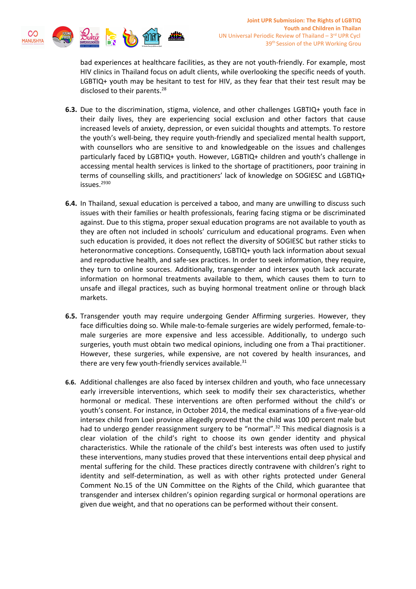

bad experiences at healthcare facilities, as they are not youth-friendly. For example, most HIV clinics in Thailand focus on adult clients, while overlooking the specific needs of youth. LGBTIQ+ youth may be hesitant to test for HIV, as they fear that their test result may be disclosed to their parents.<sup>28</sup>

- **6.3.** Due to the discrimination, stigma, violence, and other challenges LGBTIQ+ youth face in their daily lives, they are experiencing social exclusion and other factors that cause increased levels of anxiety, depression, or even suicidal thoughts and attempts. To restore the youth'<sup>s</sup> well-being, they require youth-friendly and specialized mental health support, with counsellors who are sensitive to and knowledgeable on the issues and challenges particularly faced by LGBTIQ+ youth. However, LGBTIQ+ children and youth'<sup>s</sup> challenge in accessing mental health services is linked to the shortage of practitioners, poor training in terms of counselling skills, and practitioners' lack of knowledge on SOGIESC and LGBTIQ+ issues.<sup>2930</sup>
- **6.4.** In Thailand, sexual education is perceived <sup>a</sup> taboo, and many are unwilling to discuss such issues with their families or health professionals, fearing facing stigma or be discriminated against. Due to this stigma, proper sexual education programs are not available to youth as they are often not included in schools' curriculum and educational programs. Even when such education is provided, it does not reflect the diversity of SOGIESC but rather sticks to heteronormative conceptions. Consequently, LGBTIQ+ youth lack information about sexual and reproductive health, and safe-sex practices. In order to seek information, they require, they turn to online sources. Additionally, transgender and intersex youth lack accurate information on hormonal treatments available to them, which causes them to turn to unsafe and illegal practices, such as buying hormonal treatment online or through black markets.
- **6.5.** Transgender youth may require undergoing Gender Affirming surgeries. However, they face difficulties doing so. While male-to-female surgeries are widely performed, female-tomale surgeries are more expensive and less accessible. Additionally, to undergo such surgeries, youth must obtain two medical opinions, including one from <sup>a</sup> Thai practitioner. However, these surgeries, while expensive, are not covered by health insurances, and there are very few youth-friendly services available.<sup>31</sup>
- **6.6.** Additional challenges are also faced by intersex children and youth, who face unnecessary early irreversible interventions, which seek to modify their sex characteristics, whether hormonal or medical. These interventions are often performed without the child'<sup>s</sup> or youth'<sup>s</sup> consent. For instance, in October 2014, the medical examinations of <sup>a</sup> five-year-old intersex child from Loei province allegedly proved that the child was 100 percent male but had to undergo gender reassignment surgery to be "normal".<sup>32</sup> This medical diagnosis is a clear violation of the child'<sup>s</sup> right to choose its own gender identity and physical characteristics. While the rationale of the child'<sup>s</sup> best interests was often used to justify these interventions, many studies proved that these interventions entail deep physical and mental suffering for the child. These practices directly contravene with children'<sup>s</sup> right to identity and self-determination, as well as with other rights protected under General Comment No.15 of the UN Committee on the Rights of the Child, which guarantee that transgender and intersex children'<sup>s</sup> opinion regarding surgical or hormonal operations are given due weight, and that no operations can be performed without their consent.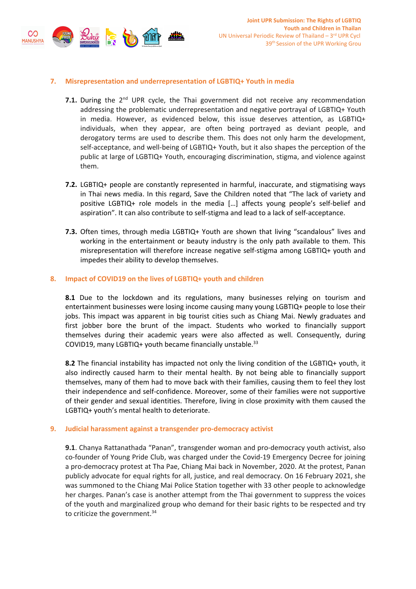

## **7. Misrepresentation and underrepresentation of LGBTIQ+ Youth in media**

- **7.1.** During the 2<sup>nd</sup> UPR cycle, the Thai government did not receive any recommendation addressing the problematic underrepresentation and negative portrayal of LGBTIQ+ Youth in media. However, as evidenced below, this issue deserves attention, as LGBTIQ+ individuals, when they appear, are often being portrayed as deviant people, and derogatory terms are used to describe them. This does not only harm the development, self-acceptance, and well-being of LGBTIQ+ Youth, but it also shapes the perception of the public at large of LGBTIQ+ Youth, encouraging discrimination, stigma, and violence against them.
- **7.2.** LGBTIQ+ people are constantly represented in harmful, inaccurate, and stigmatising ways in Thai news media. In this regard, Save the Children noted that "The lack of variety and positive LGBTIQ+ role models in the media […] affects young people'<sup>s</sup> self-belief and aspiration". It can also contribute to self-stigma and lead to <sup>a</sup> lack of self-acceptance.
- **7.3.** Often times, through media LGBTIQ+ Youth are shown that living "scandalous" lives and working in the entertainment or beauty industry is the only path available to them. This misrepresentation will therefore increase negative self-stigma among LGBTIQ+ youth and impedes their ability to develop themselves.

## **8. Impact of COVID19 on the lives of LGBTIQ+ youth and children**

**8.1** Due to the lockdown and its regulations, many businesses relying on tourism and entertainment businesses were losing income causing many young LGBTIQ+ people to lose their jobs. This impact was apparent in big tourist cities such as Chiang Mai. Newly graduates and first jobber bore the brunt of the impact. Students who worked to financially support themselves during their academic years were also affected as well. Consequently, during COVID19, many LGBTIQ+ youth became financially unstable.<sup>33</sup>

**8.2** The financial instability has impacted not only the living condition of the LGBTIQ+ youth, it also indirectly caused harm to their mental health. By not being able to financially support themselves, many of them had to move back with their families, causing them to feel they lost their independence and self-confidence. Moreover, some of their families were not supportive of their gender and sexual identities. Therefore, living in close proximity with them caused the LGBTIQ+ youth'<sup>s</sup> mental health to deteriorate.

#### **9. Judicial harassment against <sup>a</sup> transgender pro-democracy activist**

**9.1**. Chanya Rattanathada "Panan", transgender woman and pro-democracy youth activist, also co-founder of Young Pride Club, was charged under the Covid-19 Emergency Decree for joining <sup>a</sup> pro-democracy protest at Tha Pae, Chiang Mai back in November, 2020. At the protest, Panan publicly advocate for equal rights for all, justice, and real democracy. On 16 February 2021, she was summoned to the Chiang Mai Police Station together with 33 other people to acknowledge her charges. Panan'<sup>s</sup> case is another attempt from the Thai government to suppress the voices of the youth and marginalized group who demand for their basic rights to be respected and try to criticize the government. 34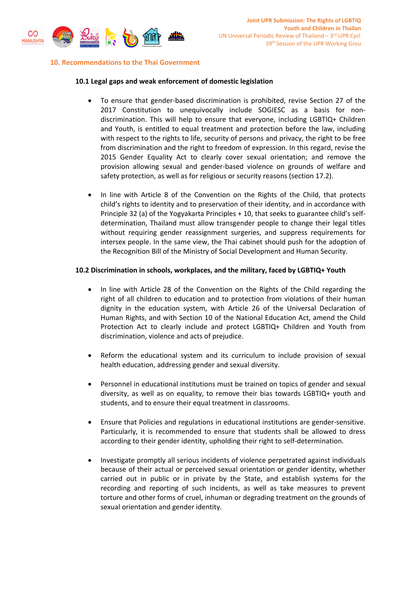

#### **10. Recommendations to the Thai Government**

#### **10.1 Legal gaps and weak enforcement of domestic legislation**

- c To ensure that gender-based discrimination is prohibited, revise Section 27 of the 2017 Constitution to unequivocally include SOGIESC as <sup>a</sup> basis for nondiscrimination. This will help to ensure that everyone, including LGBTIQ+ Children and Youth, is entitled to equal treatment and protection before the law, including with respect to the rights to life, security of persons and privacy, the right to be free from discrimination and the right to freedom of expression. In this regard, revise the 2015 Gender Equality Act to clearly cover sexual orientation; and remove the provision allowing sexual and gender-based violence on grounds of welfare and safety protection, as well as for religious or security reasons (section 17.2).
- c In line with Article 8 of the Convention on the Rights of the Child, that protects child'<sup>s</sup> rights to identity and to preservation of their identity, and in accordance with Principle 32 (a) of the Yogyakarta Principles <sup>+</sup> 10, that seeks to guarantee child'<sup>s</sup> selfdetermination, Thailand must allow transgender people to change their legal titles without requiring gender reassignment surgeries, and suppress requirements for intersex people. In the same view, the Thai cabinet should push for the adoption of the Recognition Bill of the Ministry of Social Development and Human Security.

#### **10.2 Discrimination in schools, workplaces, and the military, faced by LGBTIQ+ Youth**

- e In line with Article 28 of the Convention on the Rights of the Child regarding the right of all children to education and to protection from violations of their human dignity in the education system, with Article 26 of the Universal Declaration of Human Rights, and with Section 10 of the National Education Act, amend the Child Protection Act to clearly include and protect LGBTIQ+ Children and Youth from discrimination, violence and acts of prejudice.
- c Reform the educational system and its curriculum to include provision of sexual health education, addressing gender and sexual diversity.
- c Personnel in educational institutions must be trained on topics of gender and sexual diversity, as well as on equality, to remove their bias towards LGBTIQ+ youth and students, and to ensure their equal treatment in classrooms.
- c Ensure that Policies and regulations in educational institutions are gender-sensitive. Particularly, it is recommended to ensure that students shall be allowed to dress according to their gender identity, upholding their right to self-determination.
- e Investigate promptly all serious incidents of violence perpetrated against individuals because of their actual or perceived sexual orientation or gender identity, whether carried out in public or in private by the State, and establish systems for the recording and reporting of such incidents, as well as take measures to prevent torture and other forms of cruel, inhuman or degrading treatment on the grounds of sexual orientation and gender identity.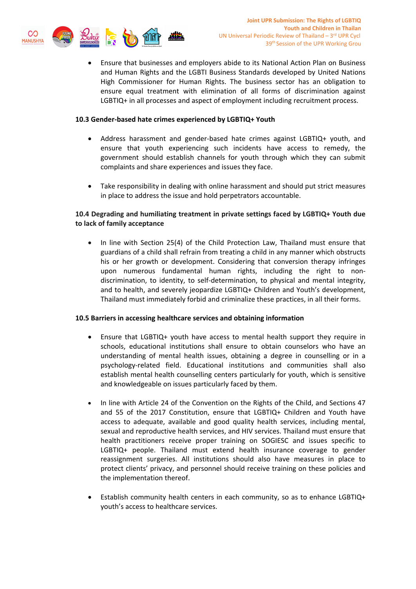

c Ensure that businesses and employers abide to its National Action Plan on Business and Human Rights and the LGBTI Business Standards developed by United Nations High Commissioner for Human Rights. The business sector has an obligation to ensure equal treatment with elimination of all forms of discrimination against LGBTIQ+ in all processes and aspect of employment including recruitment process.

## **10.3 Gender-based hate crimes experienced by LGBTIQ+ Youth**

- c Address harassment and gender-based hate crimes against LGBTIQ+ youth, and ensure that youth experiencing such incidents have access to remedy, the government should establish channels for youth through which they can submit complaints and share experiences and issues they face.
- c Take responsibility in dealing with online harassment and should put strict measures in place to address the issue and hold perpetrators accountable.

# **10.4 Degrading and humiliating treatment in private settings faced by LGBTIQ+ Youth due to lack of family acceptance**

0 In line with Section 25(4) of the Child Protection Law, Thailand must ensure that guardians of <sup>a</sup> child shall refrain from treating <sup>a</sup> child in any manner which obstructs his or her growth or development. Considering that conversion therapy infringes upon numerous fundamental human rights, including the right to nondiscrimination, to identity, to self-determination, to physical and mental integrity, and to health, and severely jeopardize LGBTIQ+ Children and Youth'<sup>s</sup> development, Thailand must immediately forbid and criminalize these practices, in all their forms.

## **10.5 Barriers in accessing healthcare services and obtaining information**

- c Ensure that LGBTIQ+ youth have access to mental health support they require in schools, educational institutions shall ensure to obtain counselors who have an understanding of mental health issues, obtaining <sup>a</sup> degree in counselling or in <sup>a</sup> psychology-related field. Educational institutions and communities shall also establish mental health counselling centers particularly for youth, which is sensitive and knowledgeable on issues particularly faced by them.
- c In line with Article 24 of the Convention on the Rights of the Child, and Sections 47 and 55 of the 2017 Constitution, ensure that LGBTIQ+ Children and Youth have access to adequate, available and good quality health services, including mental, sexual and reproductive health services, and HIV services. Thailand must ensure that health practitioners receive proper training on SOGIESC and issues specific to LGBTIQ+ people. Thailand must extend health insurance coverage to gender reassignment surgeries. All institutions should also have measures in place to protect clients' privacy, and personnel should receive training on these policies and the implementation thereof.
- c Establish community health centers in each community, so as to enhance LGBTIQ+ youth'<sup>s</sup> access to healthcare services.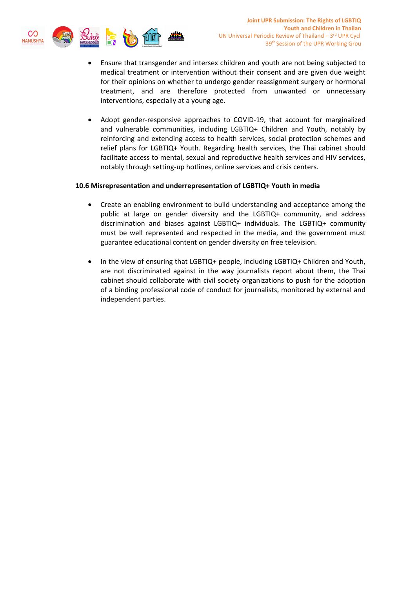

- c Ensure that transgender and intersex children and youth are not being subjected to medical treatment or intervention without their consent and are given due weight for their opinions on whether to undergo gender reassignment surgery or hormonal treatment, and are therefore protected from unwanted or unnecessary interventions, especially at <sup>a</sup> young age.
- e Adopt gender-responsive approaches to COVID-19, that account for marginalized and vulnerable communities, including LGBTIQ+ Children and Youth, notably by reinforcing and extending access to health services, social protection schemes and relief plans for LGBTIQ+ Youth. Regarding health services, the Thai cabinet should facilitate access to mental, sexual and reproductive health services and HIV services, notably through setting-up hotlines, online services and crisis centers.

## **10.6 Misrepresentation and underrepresentation of LGBTIQ+ Youth in media**

- $\bullet$  Create an enabling environment to build understanding and acceptance among the public at large on gender diversity and the LGBTIQ+ community, and address discrimination and biases against LGBTIQ+ individuals. The LGBTIQ+ community must be well represented and respected in the media, and the government must guarantee educational content on gender diversity on free television.
- c In the view of ensuring that LGBTIQ+ people, including LGBTIQ+ Children and Youth, are not discriminated against in the way journalists report about them, the Thai cabinet should collaborate with civil society organizations to push for the adoption of <sup>a</sup> binding professional code of conduct for journalists, monitored by external and independent parties.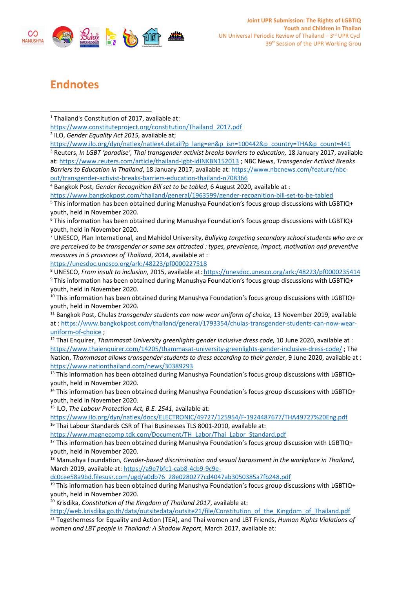

# **Endnotes**

4 Bangkok Post, *Gender Recognition Bill set to be tabled*, 6 August 2020, available at :

<https://www.bangkokpost.com/thailand/general/1963599/gender-recognition-bill-set-to-be-tabled>

5 This information has been obtained during Manushya Foundation'<sup>s</sup> focus group discussions with LGBTIQ+ youth, held in November 2020.

6 This information has been obtained during Manushya Foundation'<sup>s</sup> focus group discussions with LGBTIQ+ youth, held in November 2020.

7 UNESCO, Plan International, and Mahidol University, *Bullying targeting secondary school students who are or are perceived to be transgender or same sex attracted : types, prevalence, impact, motivation and preventive measures in 5 provinces of Thailand*, 2014, available at :

<https://unesdoc.unesco.org/ark:/48223/pf0000227518>

8 UNESCO, *From insult to inclusion*, 2015, available at: <https://unesdoc.unesco.org/ark:/48223/pf0000235414> 9 This information has been obtained during Manushya Foundation'<sup>s</sup> focus group discussions with LGBTIQ+ youth, held in November 2020.

<sup>10</sup> This information has been obtained during Manushya Foundation's focus group discussions with LGBTIQ+ youth, held in November 2020.

11 Bangkok Post, Chulas *transgender students can now wear uniform of choice,* 13 November 2019, available at : [https://www.bangkokpost.com/thailand/general/1793354/chulas-transgender-students-can-now-wear](https://www.bangkokpost.com/thailand/general/1793354/chulas-transgender-students-can-now-wear-uniform-of-choice)[uniform-of-choice](https://www.bangkokpost.com/thailand/general/1793354/chulas-transgender-students-can-now-wear-uniform-of-choice) ;

12 Thai Enquirer, *Thammasat University greenlights gender inclusive dress code,* 10 June 2020, available at : <https://www.thaienquirer.com/14205/thammasat-university-greenlights-gender-inclusive-dress-code/> ; The Nation, *Thammasat allows transgender students to dress according to their gender*, 9 June 2020, available at : <https://www.nationthailand.com/news/30389293>

<sup>13</sup> This information has been obtained during Manushya Foundation's focus group discussions with LGBTIQ+ youth, held in November 2020.

<sup>14</sup> This information has been obtained during Manushya Foundation's focus group discussions with LGBTIQ+ youth, held in November 2020.

15 ILO, *The Labour Protection Act, B.E. 2541*, available at:

<https://www.ilo.org/dyn/natlex/docs/ELECTRONIC/49727/125954/F-1924487677/THA49727%20Eng.pdf> <sup>16</sup> Thai Labour Standards CSR of Thai Businesses TLS 8001-2010, available at:

[https://www.magnecomp.tdk.com/Document/TH\\_Labor/Thai\\_Labor\\_Standard.pdf](https://www.magnecomp.tdk.com/Document/TH_Labor/Thai_Labor_Standard.pdf)

<sup>17</sup> This information has been obtained during Manushya Foundation's focus group discussion with LGBTIQ+ youth, held in November 2020.

<sup>18</sup> Manushya Foundation, *Gender-based discrimination and sexual harassment in the workplace in Thailand*, March 2019, available at: [https://a9e7bfc1-cab8-4cb9-9c9e-](https://a9e7bfc1-cab8-4cb9-9c9e-dc0cee58a9bd.filesusr.com/ugd/a0db76_28e0280277cd4047ab3050385a7fb248.pdf)

[dc0cee58a9bd.filesusr.com/ugd/a0db76\\_28e0280277cd4047ab3050385a7fb248.pdf](https://a9e7bfc1-cab8-4cb9-9c9e-dc0cee58a9bd.filesusr.com/ugd/a0db76_28e0280277cd4047ab3050385a7fb248.pdf)

<sup>19</sup> This information has been obtained during Manushya Foundation's focus group discussions with LGBTIQ+ youth, held in November 2020.

20 Krisdika, *Constitution of the Kingdom of Thailand 2017*, available at:

http://web.krisdika.go.th/data/outsitedata/outsite21/file/Constitution of the Kingdom of Thailand.pdf

21 Togetherness for Equality and Action (TEA), and Thai women and LBT Friends, *Human Rights Violations of women and LBT people in Thailand: A Shadow Report*, March 2017, available at:

<sup>&</sup>lt;sup>1</sup> Thailand's Constitution of 2017, available at:

[https://www.constituteproject.org/constitution/Thailand\\_2017.pdf](https://www.constituteproject.org/constitution/Thailand_2017.pdf)

<sup>2</sup> ILO, *Gender Equality Act 2015,* available at;

[https://www.ilo.org/dyn/natlex/natlex4.detail?p\\_lang=en&p\\_isn=100442&p\\_country=THA&p\\_count=441](https://www.ilo.org/dyn/natlex/natlex4.detail?p_lang=en&p_isn=100442&p_country=THA&p_count=441) 3 Reuters, *In LGBT 'paradise', Thai transgender activist breaks barriers to education,* 18 January 2017, available at: <https://www.reuters.com/article/thailand-lgbt-idINKBN152013> ; NBC News, *Transgender Activist Breaks Barriers to Education in Thailand*, 18 January 2017, available at: [https://www.nbcnews.com/feature/nbc](https://www.nbcnews.com/feature/nbc-out/transgender-activist-breaks-barriers-education-thailand-n708366)[out/transgender-activist-breaks-barriers-education-thailand-n708366](https://www.nbcnews.com/feature/nbc-out/transgender-activist-breaks-barriers-education-thailand-n708366)